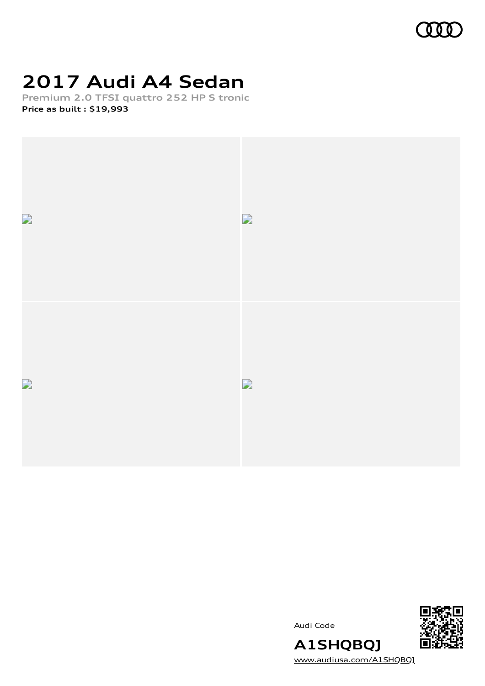

# **2017 Audi A4 Sedan**

**Premium 2.0 TFSI quattro 252 HP S tronic Price as built [:](#page-9-0) \$19,993**







[www.audiusa.com/A1SHQBQJ](https://www.audiusa.com/A1SHQBQJ)

**A1SHQBQJ**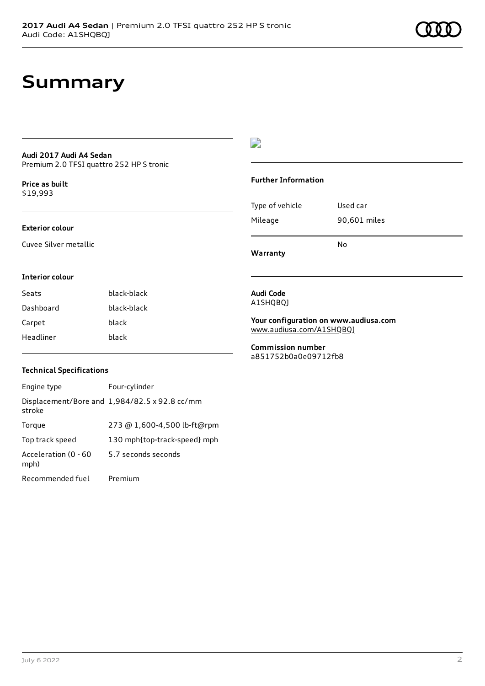## **Summary**

## **Audi 2017 Audi A4 Sedan** Premium 2.0 TFSI quattro 252 HP S tronic

**Price as buil[t](#page-9-0)** \$19,993

## **Exterior colour**

Cuvee Silver metallic

## $\overline{\phantom{a}}$

### **Further Information**

|                 | N٥           |
|-----------------|--------------|
| Mileage         | 90,601 miles |
| Type of vehicle | Used car     |

**Warranty**

## **Interior colour**

Seats black-black Dashboard black-black Carpet black Headliner black

## **Audi Code** A1SHQBQJ

**Your configuration on www.audiusa.com** [www.audiusa.com/A1SHQBQJ](https://www.audiusa.com/A1SHQBQJ)

**Commission number** a851752b0a0e09712fb8

## **Technical Specifications**

| Engine type                  | Four-cylinder                                 |
|------------------------------|-----------------------------------------------|
| stroke                       | Displacement/Bore and 1,984/82.5 x 92.8 cc/mm |
| Torque                       | 273 @ 1,600-4,500 lb-ft@rpm                   |
| Top track speed              | 130 mph{top-track-speed} mph                  |
| Acceleration (0 - 60<br>mph) | 5.7 seconds seconds                           |
| Recommended fuel             | Premium                                       |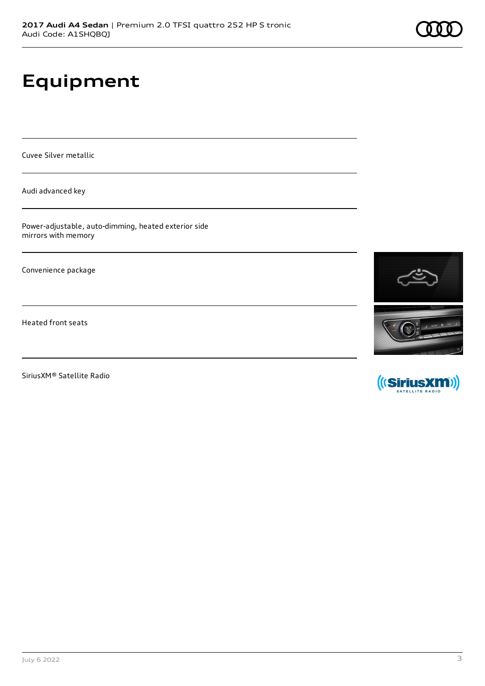# **Equipment**

Cuvee Silver metallic

Audi advanced key

Power-adjustable, auto-dimming, heated exterior side mirrors with memory

Convenience package

Heated front seats

SiriusXM® Satellite Radio



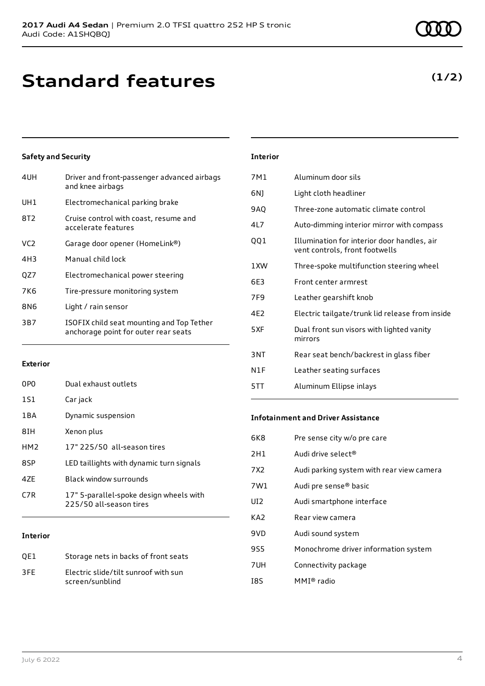| 4UH             | Driver and front-passenger advanced airbags<br>and knee airbags                   |
|-----------------|-----------------------------------------------------------------------------------|
| UH1             | Electromechanical parking brake                                                   |
| 8T <sub>2</sub> | Cruise control with coast, resume and<br>accelerate features                      |
| VC <sub>2</sub> | Garage door opener (HomeLink®)                                                    |
| 4H3             | Manual child lock                                                                 |
| QZ7             | Electromechanical power steering                                                  |
| 7K6             | Tire-pressure monitoring system                                                   |
| 8N6             | Light / rain sensor                                                               |
| 3B7             | ISOFIX child seat mounting and Top Tether<br>anchorage point for outer rear seats |
|                 |                                                                                   |

## **Exterior**

| 0PO             | Dual exhaust outlets                                               |
|-----------------|--------------------------------------------------------------------|
| 1S1             | Car jack                                                           |
| 1 B A           | Dynamic suspension                                                 |
| 8IH             | Xenon plus                                                         |
| HM <sub>2</sub> | 17" 225/50 all-season tires                                        |
| 8SP             | LED taillights with dynamic turn signals                           |
| 47F             | Black window surrounds                                             |
| C7R             | 17" 5-parallel-spoke design wheels with<br>225/50 all-season tires |
|                 |                                                                    |

## **Interior**

| OE1 | Storage nets in backs of front seats                    |
|-----|---------------------------------------------------------|
| 3FF | Electric slide/tilt sunroof with sun<br>screen/sunblind |

## **Interior**

| 7M1             | Aluminum door sils                                                            |
|-----------------|-------------------------------------------------------------------------------|
| 6NJ             | Light cloth headliner                                                         |
| 9AQ             | Three-zone automatic climate control                                          |
| 41 7            | Auto-dimming interior mirror with compass                                     |
| QQ1             | Illumination for interior door handles, air<br>vent controls, front footwells |
| 1XW             | Three-spoke multifunction steering wheel                                      |
| 6F3             | Front center armrest                                                          |
| 7F <sub>9</sub> | Leather gearshift knob                                                        |
| 4F <sub>2</sub> | Electric tailgate/trunk lid release from inside                               |
| 5XF             | Dual front sun visors with lighted vanity<br>mirrors                          |
| 3 <sub>NT</sub> | Rear seat bench/backrest in glass fiber                                       |
| N1F             | Leather seating surfaces                                                      |
| 5TT             | Aluminum Ellipse inlays                                                       |
|                 |                                                                               |

## **Infotainment and Driver Assistance**

| 6K8 | Pre sense city w/o pre care               |
|-----|-------------------------------------------|
| 2H1 | Audi drive select <sup>®</sup>            |
| 7X2 | Audi parking system with rear view camera |
| 7W1 | Audi pre sense <sup>®</sup> basic         |
| UI2 | Audi smartphone interface                 |
| KA2 | Rear view camera                          |
| 9VD | Audi sound system                         |
| 9S5 | Monochrome driver information system      |
| 7UH | Connectivity package                      |
| I8S | $MMI®$ radio                              |

## **(1/2)**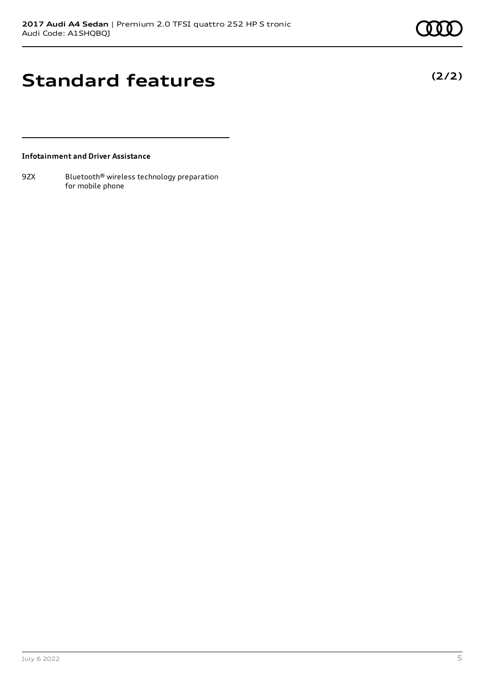**(2/2)**

## **Standard features**

**Infotainment and Driver Assistance**

9ZX Bluetooth<sup>®</sup> wireless technology preparation for mobile phone

July 6 2022 5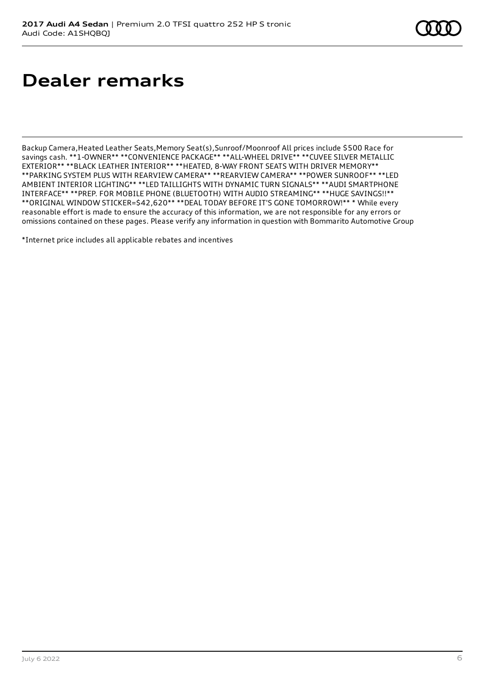# **Dealer remarks**

Backup Camera,Heated Leather Seats,Memory Seat(s),Sunroof/Moonroof All prices include \$500 Race for savings cash. \*\*1-OWNER\*\* \*\*CONVENIENCE PACKAGE\*\* \*\*ALL-WHEEL DRIVE\*\* \*\*CUVEE SILVER METALLIC EXTERIOR\*\* \*\*BLACK LEATHER INTERIOR\*\* \*\*HEATED, 8-WAY FRONT SEATS WITH DRIVER MEMORY\*\* \*\*PARKING SYSTEM PLUS WITH REARVIEW CAMERA\*\* \*\*REARVIEW CAMERA\*\* \*\*POWER SUNROOF\*\* \*\*LED AMBIENT INTERIOR LIGHTING\*\* \*\*LED TAILLIGHTS WITH DYNAMIC TURN SIGNALS\*\* \*\*AUDI SMARTPHONE INTERFACE\*\* \*\*PREP. FOR MOBILE PHONE (BLUETOOTH) WITH AUDIO STREAMING\*\* \*\*HUGE SAVINGS!!\*\* \*\*ORIGINAL WINDOW STICKER=\$42,620\*\* \*\*DEAL TODAY BEFORE IT'S GONE TOMORROW!\*\* \* While every reasonable effort is made to ensure the accuracy of this information, we are not responsible for any errors or omissions contained on these pages. Please verify any information in question with Bommarito Automotive Group

\*Internet price includes all applicable rebates and incentives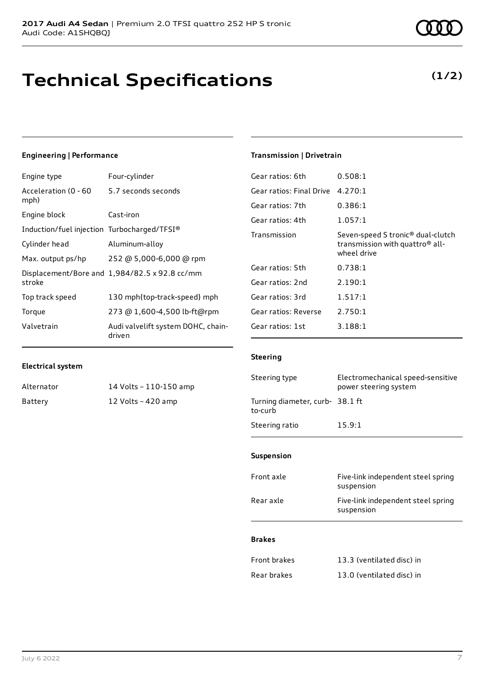# **Technical Specifications**

5.7 seconds seconds

## **Transmission | Drivetrain**

| Gear ratios: 6th         | 0.508:1                                                                                                     |
|--------------------------|-------------------------------------------------------------------------------------------------------------|
| Gear ratios: Final Drive | 4.270:1                                                                                                     |
| Gear ratios: 7th         | 0.386:1                                                                                                     |
| Gear ratios: 4th         | 1.057:1                                                                                                     |
| Transmission             | Seven-speed S tronic <sup>®</sup> dual-clutch<br>transmission with quattro <sup>®</sup> all-<br>wheel drive |
| Gear ratios: 5th         | 0.738:1                                                                                                     |
| Gear ratios: 2nd         | 2.190:1                                                                                                     |
| Gear ratios: 3rd         | 1.517:1                                                                                                     |
| Gear ratios: Reverse     | 2.750:1                                                                                                     |
| Gear ratios: 1st         | 3.188:1                                                                                                     |

## **Electrical system**

**Engineering | Performance**

Acceleration (0 - 60

mph)

stroke

Engine type Four-cylinder

Engine block Cast-iron

Induction/fuel injection Turbocharged/TFSI®

Max. output ps/hp 252 @ 5,000-6,000 @ rpm Displacement/Bore and 1,984/82.5 x 92.8 cc/mm

Top track speed 130 mph{top-track-speed} mph Torque 273 @ 1,600-4,500 lb-ft@rpm Valvetrain Audi valvelift system DOHC, chaindriven

Cylinder head Aluminum-alloy

| Alternator | 14 Volts - 110-150 amp |
|------------|------------------------|
| Battery    | 12 Volts - 420 amp     |

## **Steering**

| Steering type                             | Electromechanical speed-sensitive<br>power steering system |
|-------------------------------------------|------------------------------------------------------------|
| Turning diameter, curb-38.1 ft<br>to-curb |                                                            |
| Steering ratio                            | 15.9:1                                                     |

## **Suspension**

| Front axle | Five-link independent steel spring<br>suspension |
|------------|--------------------------------------------------|
| Rear axle  | Five-link independent steel spring<br>suspension |
|            |                                                  |

## **Brakes**

| <b>Front brakes</b> | 13.3 (ventilated disc) in |
|---------------------|---------------------------|
| Rear brakes         | 13.0 (ventilated disc) in |

## **(1/2)**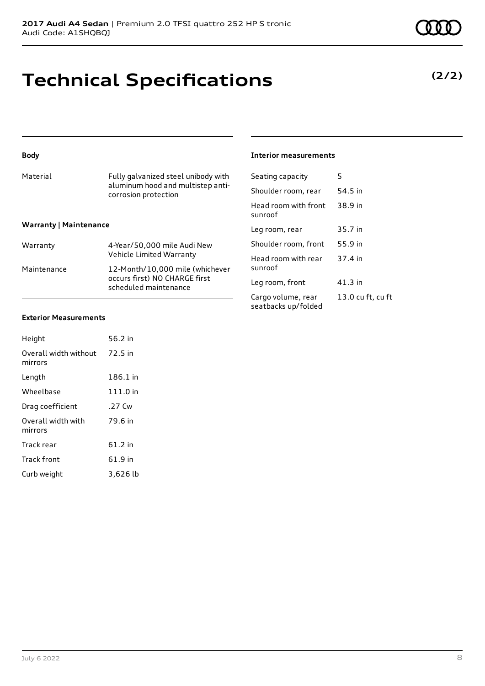# **Technical Specifications**

## **Body**

| Material                      | Fully galvanized steel unibody with<br>aluminum hood and multistep anti-<br>corrosion protection |  |
|-------------------------------|--------------------------------------------------------------------------------------------------|--|
| <b>Warranty   Maintenance</b> |                                                                                                  |  |
| Warranty                      | 4-Year/50,000 mile Audi New<br>Vehicle Limited Warranty                                          |  |
| Maintenance                   | 12-Month/10,000 mile (whichever<br>occurs first) NO CHARGE first                                 |  |

scheduled maintenance

## **Exterior Measurements**

| Height                           | 56.2 in  |
|----------------------------------|----------|
| Overall width without<br>mirrors | 72.5 in  |
| Length                           | 186.1 in |
| Wheelbase                        | 111.0 in |
| Drag coefficient                 | .27 Cw   |
| Overall width with<br>mirrors    | 79.6 in  |
| Track rear                       | 61.2 in  |
| <b>Track front</b>               | 61.9 in  |
| Curb weight                      | 3,626 lb |

## **Interior measurements**

| Seating capacity                          | 5                 |
|-------------------------------------------|-------------------|
| Shoulder room, rear                       | 54.5 in           |
| Head room with front<br>sunroof           | 38.9 in           |
| Leg room, rear                            | 35.7 in           |
| Shoulder room, front                      | 55.9 in           |
| Head room with rear<br>sunroof            | 37.4 in           |
| Leg room, front                           | 41.3 in           |
| Cargo volume, rear<br>seatbacks up/folded | 13.0 cu ft, cu ft |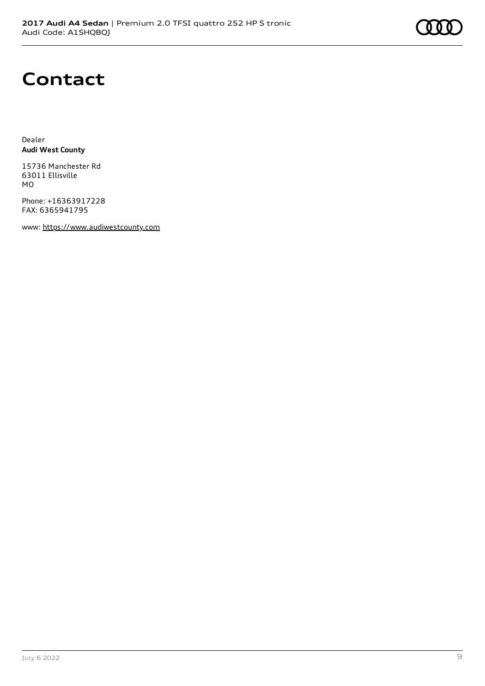

## **Contact**

Dealer **Audi West County**

15736 Manchester Rd 63011 Ellisville MO

Phone: +16363917228 FAX: 6365941795

www: [https://www.audiwestcounty.com](https://www.audiwestcounty.com/)